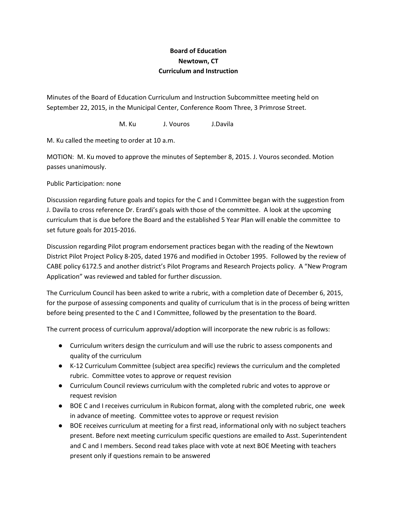## **Board of Education Newtown, CT Curriculum and Instruction**

Minutes of the Board of Education Curriculum and Instruction Subcommittee meeting held on September 22, 2015, in the Municipal Center, Conference Room Three, 3 Primrose Street.

M. Ku J. Vouros J.Davila

M. Ku called the meeting to order at 10 a.m.

MOTION: M. Ku moved to approve the minutes of September 8, 2015. J. Vouros seconded. Motion passes unanimously.

Public Participation: none

Discussion regarding future goals and topics for the C and I Committee began with the suggestion from J. Davila to cross reference Dr. Erardi's goals with those of the committee. A look at the upcoming curriculum that is due before the Board and the established 5 Year Plan will enable the committee to set future goals for 2015-2016.

Discussion regarding Pilot program endorsement practices began with the reading of the Newtown District Pilot Project Policy 8-205, dated 1976 and modified in October 1995. Followed by the review of CABE policy 6172.5 and another district's Pilot Programs and Research Projects policy. A "New Program Application" was reviewed and tabled for further discussion.

The Curriculum Council has been asked to write a rubric, with a completion date of December 6, 2015, for the purpose of assessing components and quality of curriculum that is in the process of being written before being presented to the C and I Committee, followed by the presentation to the Board.

The current process of curriculum approval/adoption will incorporate the new rubric is as follows:

- Curriculum writers design the curriculum and will use the rubric to assess components and quality of the curriculum
- K-12 Curriculum Committee (subject area specific) reviews the curriculum and the completed rubric. Committee votes to approve or request revision
- Curriculum Council reviews curriculum with the completed rubric and votes to approve or request revision
- BOE C and I receives curriculum in Rubicon format, along with the completed rubric, one week in advance of meeting. Committee votes to approve or request revision
- BOE receives curriculum at meeting for a first read, informational only with no subject teachers present. Before next meeting curriculum specific questions are emailed to Asst. Superintendent and C and I members. Second read takes place with vote at next BOE Meeting with teachers present only if questions remain to be answered